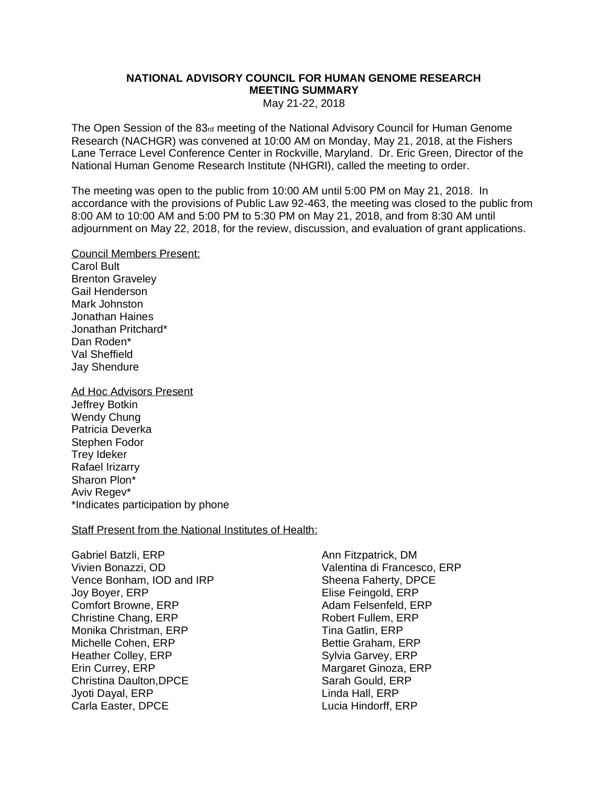# **NATIONAL ADVISORY COUNCIL FOR HUMAN GENOME RESEARCH MEETING SUMMARY**

May 21-22, 2018

The Open Session of the  $83<sub>rd</sub>$  meeting of the National Advisory Council for Human Genome Research (NACHGR) was convened at 10:00 AM on Monday, May 21, 2018, at the Fishers Lane Terrace Level Conference Center in Rockville, Maryland. Dr. Eric Green, Director of the National Human Genome Research Institute (NHGRI), called the meeting to order.

The meeting was open to the public from 10:00 AM until 5:00 PM on May 21, 2018. In accordance with the provisions of Public Law 92-463, the meeting was closed to the public from 8:00 AM to 10:00 AM and 5:00 PM to 5:30 PM on May 21, 2018, and from 8:30 AM until adjournment on May 22, 2018, for the review, discussion, and evaluation of grant applications.

Council Members Present: Carol Bult Brenton Graveley Gail Henderson Mark Johnston Jonathan Haines Jonathan Pritchard\* Dan Roden\* Val Sheffield Jay Shendure

Ad Hoc Advisors Present Jeffrey Botkin Wendy Chung Patricia Deverka Stephen Fodor Trey Ideker Rafael Irizarry Sharon Plon\* Aviv Regev\* \*Indicates participation by phone

#### Staff Present from the National Institutes of Health:

Gabriel Batzli, ERP Vivien Bonazzi, OD Vence Bonham, IOD and IRP Joy Boyer, ERP Comfort Browne, ERP Christine Chang, ERP Monika Christman, ERP Michelle Cohen, ERP Heather Colley, ERP Erin Currey, ERP Christina Daulton,DPCE Jyoti Dayal, ERP Carla Easter, DPCE

Ann Fitzpatrick, DM Valentina di Francesco, ERP Sheena Faherty, DPCE Elise Feingold, ERP Adam Felsenfeld, ERP Robert Fullem, ERP Tina Gatlin, ERP Bettie Graham, ERP Sylvia Garvey, ERP Margaret Ginoza, ERP Sarah Gould, ERP Linda Hall, ERP Lucia Hindorff, ERP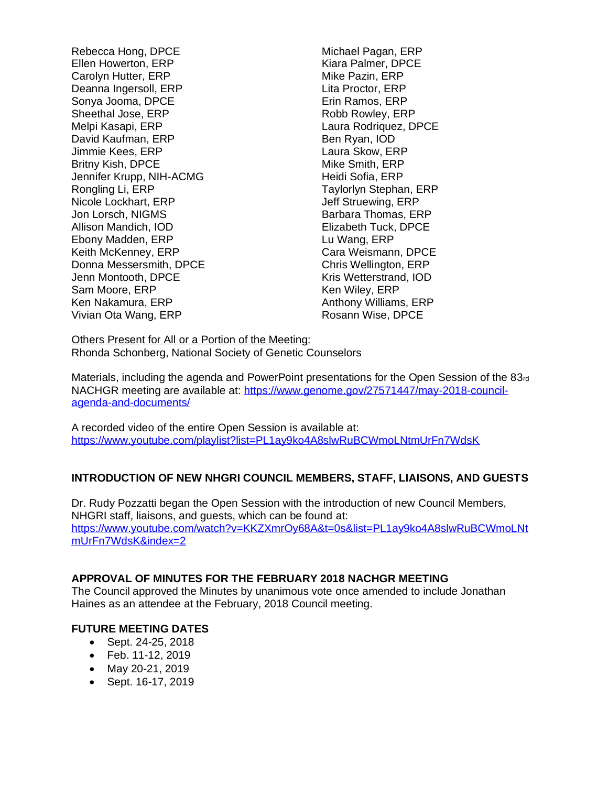Rebecca Hong, DPCE Ellen Howerton, ERP Carolyn Hutter, ERP Deanna Ingersoll, ERP Sonya Jooma, DPCE Sheethal Jose, ERP Melpi Kasapi, ERP David Kaufman, ERP Jimmie Kees, ERP Britny Kish, DPCE Jennifer Krupp, NIH-ACMG Rongling Li, ERP Nicole Lockhart, ERP Jon Lorsch, NIGMS Allison Mandich, IOD Ebony Madden, ERP Keith McKenney, ERP Donna Messersmith, DPCE Jenn Montooth, DPCE Sam Moore, ERP Ken Nakamura, ERP Vivian Ota Wang, ERP

Michael Pagan, ERP Kiara Palmer, DPCE Mike Pazin, ERP Lita Proctor, ERP Erin Ramos, ERP Robb Rowley, ERP Laura Rodriquez, DPCE Ben Ryan, IOD Laura Skow, ERP Mike Smith, ERP Heidi Sofia, ERP Taylorlyn Stephan, ERP Jeff Struewing, ERP Barbara Thomas, ERP Elizabeth Tuck, DPCE Lu Wang, ERP Cara Weismann, DPCE Chris Wellington, ERP Kris Wetterstrand, IOD Ken Wiley, ERP Anthony Williams, ERP Rosann Wise, DPCE

Others Present for All or a Portion of the Meeting: Rhonda Schonberg, National Society of Genetic Counselors

Materials, including the agenda and PowerPoint presentations for the Open Session of the 83rd NACHGR meeting are available at: [https://www.genome.gov/27571447/may-2018-council](https://www.genome.gov/27571447/may-2018-council-agenda-and-documents/)[agenda-and-documents/](https://www.genome.gov/27571447/may-2018-council-agenda-and-documents/)

A recorded video of the entire Open Session is available at: <https://www.youtube.com/playlist?list=PL1ay9ko4A8slwRuBCWmoLNtmUrFn7WdsK>

## **INTRODUCTION OF NEW NHGRI COUNCIL MEMBERS, STAFF, LIAISONS, AND GUESTS**

Dr. Rudy Pozzatti began the Open Session with the introduction of new Council Members, NHGRI staff, liaisons, and guests, which can be found at: [https://www.youtube.com/watch?v=KKZXmrOy68A&t=0s&list=PL1ay9ko4A8slwRuBCWmoLNt](https://www.youtube.com/watch?v=KKZXmrOy68A&t=0s&list=PL1ay9ko4A8slwRuBCWmoLNtmUrFn7WdsK&index=2) [mUrFn7WdsK&index=2](https://www.youtube.com/watch?v=KKZXmrOy68A&t=0s&list=PL1ay9ko4A8slwRuBCWmoLNtmUrFn7WdsK&index=2)

## **APPROVAL OF MINUTES FOR THE FEBRUARY 2018 NACHGR MEETING**

The Council approved the Minutes by unanimous vote once amended to include Jonathan Haines as an attendee at the February, 2018 Council meeting.

## **FUTURE MEETING DATES**

- Sept. 24-25, 2018
- Feb. 11-12, 2019
- May 20-21, 2019
- Sept. 16-17, 2019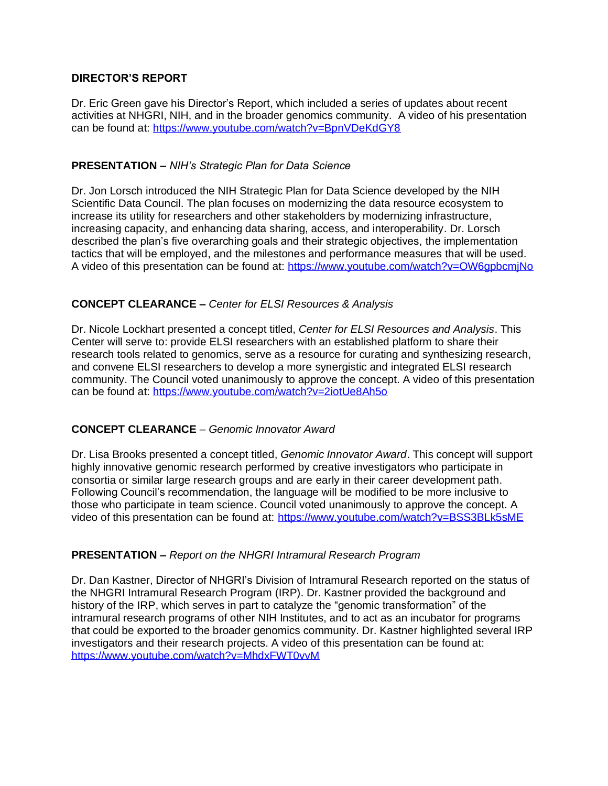#### **DIRECTOR'S REPORT**

Dr. Eric Green gave his Director's Report, which included a series of updates about recent activities at NHGRI, NIH, and in the broader genomics community. A video of his presentation can be found at: <https://www.youtube.com/watch?v=BpnVDeKdGY8>

#### **PRESENTATION –** *NIH's Strategic Plan for Data Science*

Dr. Jon Lorsch introduced the NIH Strategic Plan for Data Science developed by the NIH Scientific Data Council. The plan focuses on modernizing the data resource ecosystem to increase its utility for researchers and other stakeholders by modernizing infrastructure, increasing capacity, and enhancing data sharing, access, and interoperability. Dr. Lorsch described the plan's five overarching goals and their strategic objectives, the implementation tactics that will be employed, and the milestones and performance measures that will be used. A video of this presentation can be found at: https://www.youtube.com/watch?v=OW6gpbcmiNo

## **CONCEPT CLEARANCE –** *Center for ELSI Resources & Analysis*

Dr. Nicole Lockhart presented a concept titled, *Center for ELSI Resources and Analysis*. This Center will serve to: provide ELSI researchers with an established platform to share their research tools related to genomics, serve as a resource for curating and synthesizing research, and convene ELSI researchers to develop a more synergistic and integrated ELSI research community. The Council voted unanimously to approve the concept. A video of this presentation can be found at:<https://www.youtube.com/watch?v=2iotUe8Ah5o>

## **CONCEPT CLEARANCE** – *Genomic Innovator Award*

Dr. Lisa Brooks presented a concept titled, *Genomic Innovator Award*. This concept will support highly innovative genomic research performed by creative investigators who participate in consortia or similar large research groups and are early in their career development path. Following Council's recommendation, the language will be modified to be more inclusive to those who participate in team science. Council voted unanimously to approve the concept. A video of this presentation can be found at: <https://www.youtube.com/watch?v=BSS3BLk5sME>

#### **PRESENTATION –** *Report on the NHGRI Intramural Research Program*

Dr. Dan Kastner, Director of NHGRI's Division of Intramural Research reported on the status of the NHGRI Intramural Research Program (IRP). Dr. Kastner provided the background and history of the IRP, which serves in part to catalyze the "genomic transformation" of the intramural research programs of other NIH Institutes, and to act as an incubator for programs that could be exported to the broader genomics community. Dr. Kastner highlighted several IRP investigators and their research projects. A video of this presentation can be found at: <https://www.youtube.com/watch?v=MhdxFWT0vvM>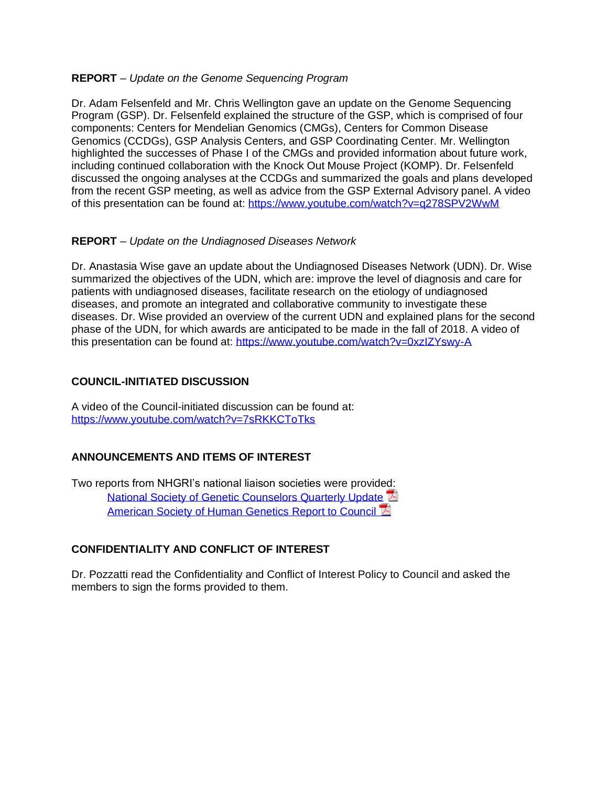#### **REPORT** – *Update on the Genome Sequencing Program*

Dr. Adam Felsenfeld and Mr. Chris Wellington gave an update on the Genome Sequencing Program (GSP). Dr. Felsenfeld explained the structure of the GSP, which is comprised of four components: Centers for Mendelian Genomics (CMGs), Centers for Common Disease Genomics (CCDGs), GSP Analysis Centers, and GSP Coordinating Center. Mr. Wellington highlighted the successes of Phase I of the CMGs and provided information about future work, including continued collaboration with the Knock Out Mouse Project (KOMP). Dr. Felsenfeld discussed the ongoing analyses at the CCDGs and summarized the goals and plans developed from the recent GSP meeting, as well as advice from the GSP External Advisory panel. A video of this presentation can be found at:<https://www.youtube.com/watch?v=q278SPV2WwM>

#### **REPORT** – *Update on the Undiagnosed Diseases Network*

Dr. Anastasia Wise gave an update about the Undiagnosed Diseases Network (UDN). Dr. Wise summarized the objectives of the UDN, which are: improve the level of diagnosis and care for patients with undiagnosed diseases, facilitate research on the etiology of undiagnosed diseases, and promote an integrated and collaborative community to investigate these diseases. Dr. Wise provided an overview of the current UDN and explained plans for the second phase of the UDN, for which awards are anticipated to be made in the fall of 2018. A video of this presentation can be found at:<https://www.youtube.com/watch?v=0xzIZYswy-A>

## **COUNCIL-INITIATED DISCUSSION**

A video of the Council-initiated discussion can be found at: <https://www.youtube.com/watch?v=7sRKKCToTks>

## **ANNOUNCEMENTS AND ITEMS OF INTEREST**

Two reports from NHGRI's national liaison societies were provided: [National Society of Genetic Counselors Quarterly Update](https://www.genome.gov/pages/about/nachgr/may2018agendadocuments/national_society_of_genetic_counselors_update_4-24-18.pdf) [American Society of Human Genetics Report to Council](https://www.genome.gov/pages/about/nachgr/may2018agendadocuments/ashg_may2018_report_to_council.pdf) A

## **CONFIDENTIALITY AND CONFLICT OF INTEREST**

Dr. Pozzatti read the Confidentiality and Conflict of Interest Policy to Council and asked the members to sign the forms provided to them.